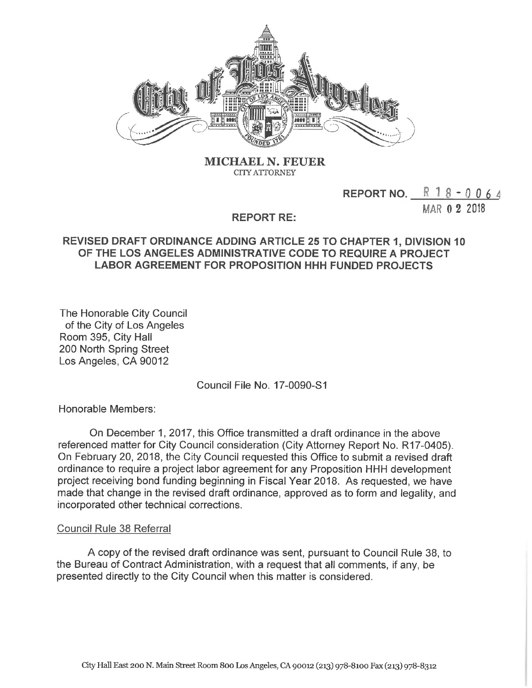

**MICHAEL N. FEUER CITYATTORNEY**

## **<sup>R</sup> <sup>1</sup> 8 - <sup>0</sup> <sup>0</sup> <sup>6</sup> <sup>4</sup> REPORT NO.**

MAR 0 2 2018

## **REPORT RE:**

## **REVISED DRAFT ORDINANCE ADDING ARTICLE 25 TO CHAPTER 1, DIVISION 10 OF THE LOS ANGELES ADMINISTRATIVE CODE TO REQUIRE A PROJECT LABOR AGREEMENT FOR PROPOSITION HHH FUNDED PROJECTS**

The Honorable City Council of the City of Los Angeles Room 395, City Hall 200 North Spring Street Los Angeles, CA 90012

Council File No. 17-0090-S1

Honorable Members:

On December 1, 2017, this Office transmitted a draft ordinance in the above referenced matter for City Council consideration (City Attorney Report No. R17-0405). On February 20, 2018, the City Council requested this Office to submit a revised draft ordinance to require a project labor agreement for any Proposition HHH development project receiving bond funding beginning in Fiscal Year 2018. As requested, we have made that change in the revised draft ordinance, approved as to form and legality, and incorporated other technical corrections.

## Council Rule 38 Referral

A copy of the revised draft ordinance was sent, pursuant to Council Rule 38, to the Bureau of Contract Administration, with a request that all comments, if any, be presented directly to the City Council when this matter is considered.